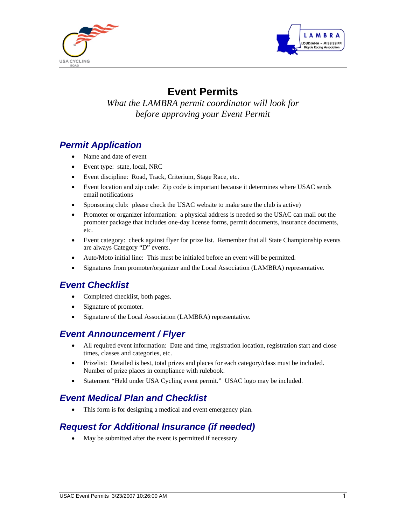



# **Event Permits**

*What the LAMBRA permit coordinator will look for before approving your Event Permit* 

# *Permit Application*

- Name and date of event
- Event type: state, local, NRC
- Event discipline: Road, Track, Criterium, Stage Race, etc.
- Event location and zip code: Zip code is important because it determines where USAC sends email notifications
- Sponsoring club: please check the USAC website to make sure the club is active)
- Promoter or organizer information: a physical address is needed so the USAC can mail out the promoter package that includes one-day license forms, permit documents, insurance documents, etc.
- Event category: check against flyer for prize list. Remember that all State Championship events are always Category "D" events.
- Auto/Moto initial line: This must be initialed before an event will be permitted.
- Signatures from promoter/organizer and the Local Association (LAMBRA) representative.

# *Event Checklist*

- Completed checklist, both pages.
- Signature of promoter.
- Signature of the Local Association (LAMBRA) representative.

# *Event Announcement / Flyer*

- All required event information: Date and time, registration location, registration start and close times, classes and categories, etc.
- Prizelist: Detailed is best, total prizes and places for each category/class must be included. Number of prize places in compliance with rulebook.
- Statement "Held under USA Cycling event permit." USAC logo may be included.

# *Event Medical Plan and Checklist*

• This form is for designing a medical and event emergency plan.

# *Request for Additional Insurance (if needed)*

• May be submitted after the event is permitted if necessary.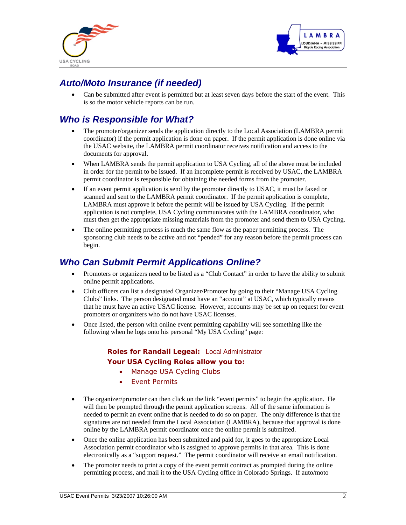



# *Auto/Moto Insurance (if needed)*

• Can be submitted after event is permitted but at least seven days before the start of the event. This is so the motor vehicle reports can be run.

# *Who is Responsible for What?*

- The promoter/organizer sends the application directly to the Local Association (LAMBRA permit coordinator) if the permit application is done on paper. If the permit application is done online via the USAC website, the LAMBRA permit coordinator receives notification and access to the documents for approval.
- When LAMBRA sends the permit application to USA Cycling, all of the above must be included in order for the permit to be issued. If an incomplete permit is received by USAC, the LAMBRA permit coordinator is responsible for obtaining the needed forms from the promoter.
- If an event permit application is send by the promoter directly to USAC, it must be faxed or scanned and sent to the LAMBRA permit coordinator. If the permit application is complete, LAMBRA must approve it before the permit will be issued by USA Cycling. If the permit application is not complete, USA Cycling communicates with the LAMBRA coordinator, who must then get the appropriate missing materials from the promoter and send them to USA Cycling.
- The online permitting process is much the same flow as the paper permitting process. The sponsoring club needs to be active and not "pended" for any reason before the permit process can begin.

### *Who Can Submit Permit Applications Online?*

- Promoters or organizers need to be listed as a "Club Contact" in order to have the ability to submit online permit applications.
- Club officers can list a designated Organizer/Promoter by going to their "Manage USA Cycling Clubs" links. The person designated must have an "account" at USAC, which typically means that he must have an active USAC license. However, accounts may be set up on request for event promoters or organizers who do not have USAC licenses.
- Once listed, the person with online event permitting capability will see something like the following when he logs onto his personal "My USA Cycling" page:

#### **Roles for Randall Legeai:** Local Administrator **Your USA Cycling Roles allow you to:**

- [Manage USA Cycling Clubs](https://www.usacycling.org/myusac/index.php?pagename=editclub)
- [Event Permits](https://www.usacycling.org/myusac/index.php?pagename=eventpermit)
- The organizer/promoter can then click on the link "event permits" to begin the application. He will then be prompted through the permit application screens. All of the same information is needed to permit an event online that is needed to do so on paper. The only difference is that the signatures are not needed from the Local Association (LAMBRA), because that approval is done online by the LAMBRA permit coordinator once the online permit is submitted.
- Once the online application has been submitted and paid for, it goes to the appropriate Local Association permit coordinator who is assigned to approve permits in that area. This is done electronically as a "support request." The permit coordinator will receive an email notification.
- The promoter needs to print a copy of the event permit contract as prompted during the online permitting process, and mail it to the USA Cycling office in Colorado Springs. If auto/moto